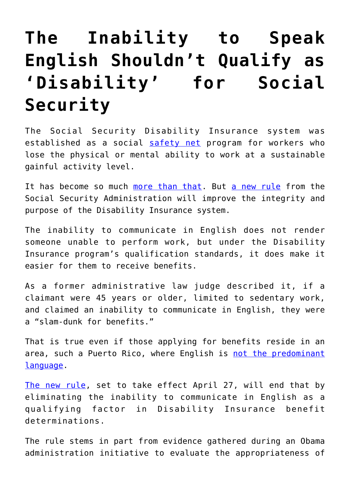## **[The Inability to Speak](https://intellectualtakeout.org/2020/02/the-inability-to-speak-english-shouldnt-qualify-as-disability-for-social-security/) [English Shouldn't Qualify as](https://intellectualtakeout.org/2020/02/the-inability-to-speak-english-shouldnt-qualify-as-disability-for-social-security/) ['Disability' for Social](https://intellectualtakeout.org/2020/02/the-inability-to-speak-english-shouldnt-qualify-as-disability-for-social-security/) [Security](https://intellectualtakeout.org/2020/02/the-inability-to-speak-english-shouldnt-qualify-as-disability-for-social-security/)**

The Social Security Disability Insurance system was established as a social [safety net](https://www.heritage.org/social-security/report/improving-social-security-disability-insurance-flat-benefit) program for workers who lose the physical or mental ability to work at a sustainable gainful activity level.

It has become so much [more than that.](https://www.heritage.org/social-security/report/private-disability-insurance-option-could-help-save-ssdi-and-improve) But [a new rule](https://blog.ssa.gov/) from the Social Security Administration will improve the integrity and purpose of the Disability Insurance system.

The inability to communicate in English does not render someone unable to perform work, but under the Disability Insurance program's qualification standards, it does make it easier for them to receive benefits.

As a former administrative law judge described it, if a claimant were 45 years or older, limited to sedentary work, and claimed an inability to communicate in English, they were a "slam-dunk for benefits."

That is true even if those applying for benefits reside in an area, such a Puerto Rico, where English is [not the predominant](https://secure.ssa.gov/apps10/poms.NSF/lnx/0425015010) [language.](https://secure.ssa.gov/apps10/poms.NSF/lnx/0425015010)

[The new rule](https://blog.ssa.gov/), set to take effect April 27, will end that by eliminating the inability to communicate in English as a qualifying factor in Disability Insurance benefit determinations.

The rule stems in part from evidence gathered during an Obama administration initiative to evaluate the appropriateness of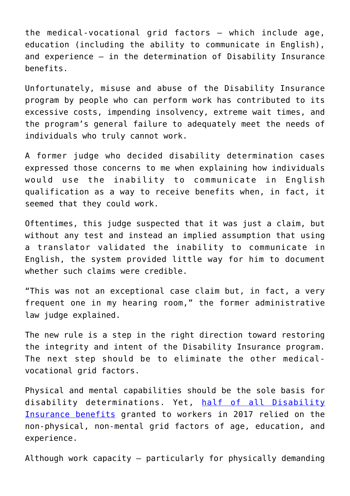the medical-vocational grid factors – which include age, education (including the ability to communicate in English), and experience – in the determination of Disability Insurance benefits.

Unfortunately, misuse and abuse of the Disability Insurance program by people who can perform work has contributed to its excessive costs, impending insolvency, extreme wait times, and the program's general failure to adequately meet the needs of individuals who truly cannot work.

A former judge who decided disability determination cases expressed those concerns to me when explaining how individuals would use the inability to communicate in English qualification as a way to receive benefits when, in fact, it seemed that they could work.

Oftentimes, this judge suspected that it was just a claim, but without any test and instead an implied assumption that using a translator validated the inability to communicate in English, the system provided little way for him to document whether such claims were credible.

"This was not an exceptional case claim but, in fact, a very frequent one in my hearing room," the former administrative law judge explained.

The new rule is a step in the right direction toward restoring the integrity and intent of the Disability Insurance program. The next step should be to eliminate the other medicalvocational grid factors.

Physical and mental capabilities should be the sole basis for disability determinations. Yet, [half of all Disability](https://www.ssa.gov/policy/docs/statcomps/di_asr/2018/di_asr18.pdf) [Insurance benefits](https://www.ssa.gov/policy/docs/statcomps/di_asr/2018/di_asr18.pdf) granted to workers in 2017 relied on the non-physical, non-mental grid factors of age, education, and experience.

Although work capacity – particularly for physically demanding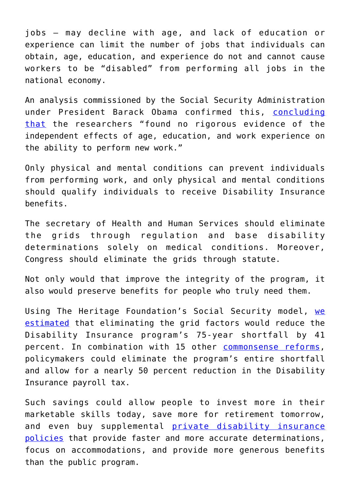jobs – may decline with age, and lack of education or experience can limit the number of jobs that individuals can obtain, age, education, and experience do not and cannot cause workers to be "disabled" from performing all jobs in the national economy.

An analysis commissioned by the Social Security Administration under President Barack Obama confirmed this, [concluding](https://www.mathematica.org/our-publications-and-findings/publications/vocational-factors-in-the-social-security-disability-determination-process-a-literature-review) [that](https://www.mathematica.org/our-publications-and-findings/publications/vocational-factors-in-the-social-security-disability-determination-process-a-literature-review) the researchers "found no rigorous evidence of the independent effects of age, education, and work experience on the ability to perform new work."

Only physical and mental conditions can prevent individuals from performing work, and only physical and mental conditions should qualify individuals to receive Disability Insurance benefits.

The secretary of Health and Human Services should eliminate the grids through regulation and base disability determinations solely on medical conditions. Moreover, Congress should eliminate the grids through statute.

Not only would that improve the integrity of the program, it also would preserve benefits for people who truly need them.

Using The Heritage Foundation's Social Security model, [we](https://www.heritage.org/budget-and-spending/report/16-reforms-improve-the-solvency-and-integrity-social-security-disability) [estimated](https://www.heritage.org/budget-and-spending/report/16-reforms-improve-the-solvency-and-integrity-social-security-disability) that eliminating the grid factors would reduce the Disability Insurance program's 75-year shortfall by 41 percent. In combination with 15 other [commonsense reforms,](https://www.heritage.org/budget-and-spending/report/16-reforms-improve-the-solvency-and-integrity-social-security-disability) policymakers could eliminate the program's entire shortfall and allow for a nearly 50 percent reduction in the Disability Insurance payroll tax.

Such savings could allow people to invest more in their marketable skills today, save more for retirement tomorrow, and even buy supplemental [private disability insurance](https://www.heritage.org/social-security/report/private-disability-insurance-option-could-help-save-ssdi-and-improve) [policies](https://www.heritage.org/social-security/report/private-disability-insurance-option-could-help-save-ssdi-and-improve) that provide faster and more accurate determinations, focus on accommodations, and provide more generous benefits than the public program.